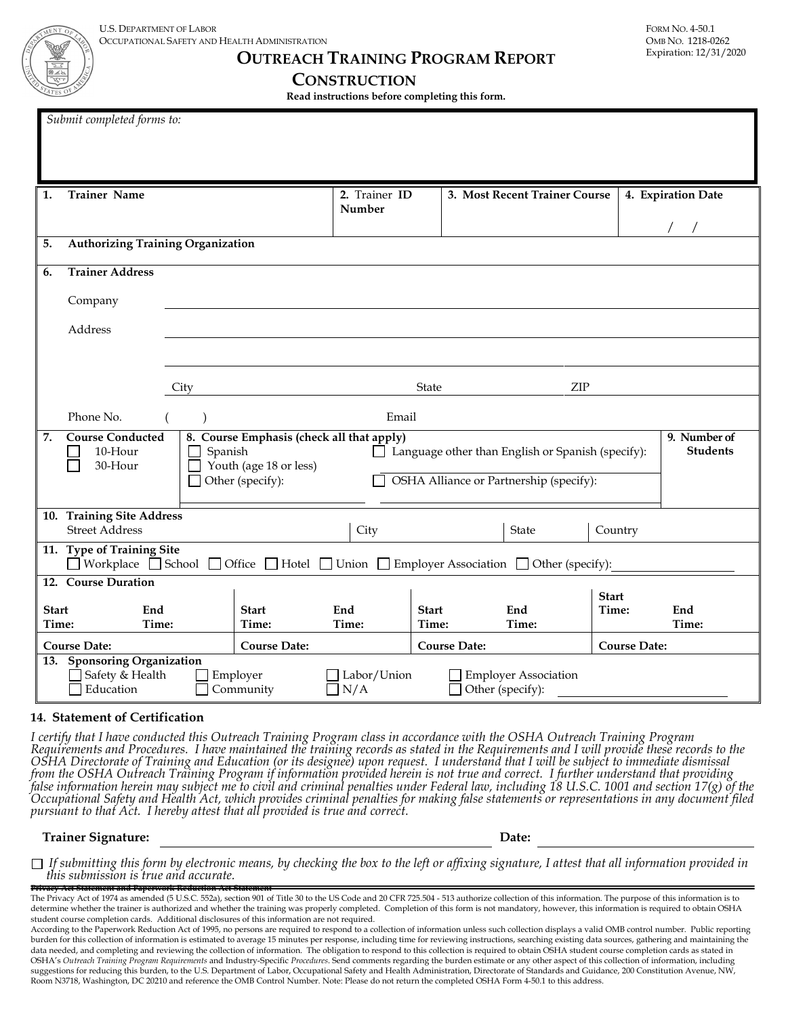**OUTREACH TRAINING PROGRAM REPORT**

| $\frac{1}{\sqrt{2}}$ |                                          |      | <b>CONSTRUCTION</b>     | Read instructions before completing this form. |                    |  |  |  |  |  |
|----------------------|------------------------------------------|------|-------------------------|------------------------------------------------|--------------------|--|--|--|--|--|
|                      | Submit completed forms to:               |      |                         |                                                |                    |  |  |  |  |  |
|                      |                                          |      |                         |                                                |                    |  |  |  |  |  |
| 1.                   | <b>Trainer Name</b>                      |      | 2. Trainer ID<br>Number | 3. Most Recent Trainer Course                  | 4. Expiration Date |  |  |  |  |  |
|                      |                                          |      |                         |                                                |                    |  |  |  |  |  |
| 5.                   | <b>Authorizing Training Organization</b> |      |                         |                                                |                    |  |  |  |  |  |
| 6.                   | <b>Trainer Address</b>                   |      |                         |                                                |                    |  |  |  |  |  |
|                      | Company                                  |      |                         |                                                |                    |  |  |  |  |  |
|                      | Address                                  |      |                         |                                                |                    |  |  |  |  |  |
|                      |                                          |      |                         |                                                |                    |  |  |  |  |  |
|                      |                                          |      |                         |                                                |                    |  |  |  |  |  |
|                      |                                          | City | State                   | ${\sf ZIP}$                                    |                    |  |  |  |  |  |

|                       | Phone No.                                                                                                                             |                                                                                                    |                       |                      | Email       |                                                                                              |  |                                                 |                       |                                 |
|-----------------------|---------------------------------------------------------------------------------------------------------------------------------------|----------------------------------------------------------------------------------------------------|-----------------------|----------------------|-------------|----------------------------------------------------------------------------------------------|--|-------------------------------------------------|-----------------------|---------------------------------|
| 7.                    | <b>Course Conducted</b><br>$10-Hour$<br>30-Hour                                                                                       | 8. Course Emphasis (check all that apply)<br>Spanish<br>Youth (age 18 or less)<br>Other (specify): |                       |                      |             | Language other than English or Spanish (specify):<br>OSHA Alliance or Partnership (specify): |  |                                                 |                       | 9. Number of<br><b>Students</b> |
| 10.                   | <b>Training Site Address</b>                                                                                                          |                                                                                                    |                       |                      |             |                                                                                              |  |                                                 |                       |                                 |
|                       | <b>Street Address</b>                                                                                                                 |                                                                                                    |                       |                      | City        |                                                                                              |  | <b>State</b>                                    | Country               |                                 |
|                       | 11. Type of Training Site<br>Workplace School<br>Office $\Box$ Hotel $\Box$ Union $\Box$ Employer Association $\Box$ Other (specify): |                                                                                                    |                       |                      |             |                                                                                              |  |                                                 |                       |                                 |
|                       | <b>Course Duration</b><br>12.                                                                                                         |                                                                                                    |                       |                      |             |                                                                                              |  |                                                 |                       |                                 |
| <b>Start</b><br>Time: | End<br>Time:                                                                                                                          |                                                                                                    | <b>Start</b><br>Time: | End<br>Time:         |             | <b>Start</b><br>Time:                                                                        |  | End<br>Time:                                    | <b>Start</b><br>Time: | End<br>Time:                    |
| <b>Course Date:</b>   |                                                                                                                                       |                                                                                                    | <b>Course Date:</b>   |                      |             | <b>Course Date:</b>                                                                          |  |                                                 | <b>Course Date:</b>   |                                 |
| 13.                   | <b>Sponsoring Organization</b><br>Safety & Health<br>Education                                                                        |                                                                                                    | Employer<br>Community | $\overline{\rm N/A}$ | Labor/Union |                                                                                              |  | <b>Employer Association</b><br>Other (specify): |                       |                                 |

#### **14. Statement of Certification**

I certify that I have conducted this Outreach Training Program class in accordance with the OSHA Outreach Training Program<br>Requirements and Procedures. I have maintained the training records as stated in the Requirements a false information herein may subject me to civil and criminal penalties under Federal law, including 18 U.S.C. 1001 and section 17(g) of the<br>Occupational Safety and Health Act, which provides criminal penalties for making

#### **Trainer Signature: Date:**

**Privacy Act Statement and Paperwork Reduction Act Statement** *If submitting this form by electronic means, by checking the box to the left or affixing signature, I attest that all information provided in this submission is true and accurate.*

The Privacy Act of 1974 as amended (5 U.S.C. 552a), section 901 of Title 30 to the US Code and 20 CFR 725.504 - 513 authorize collection of this information. The purpose of this information is to determine whether the trainer is authorized and whether the training was properly completed. Completion of this form is not mandatory, however, this information is required to obtain OSHA student course completion cards. Additional disclosures of this information are not required.

According to the Paperwork Reduction Act of 1995, no persons are required to respond to a collection of information unless such collection displays a valid OMB control number. Public reporting burden for this collection of information is estimated to average 15 minutes per response, including time for reviewing instructions, searching existing data sources, gathering and maintaining the data needed, and completing and reviewing the collection of information. The obligation to respond to this collection is required to obtain OSHA student course completion cards as stated in OSHA's *Outreach Training Program Requirements* and Industry-Specific *Procedures*. Send comments regarding the burden estimate or any other aspect of this collection of information, including suggestions for reducing this burden, to the U.S. Department of Labor, Occupational Safety and Health Administration, Directorate of Standards and Guidance, 200 Constitution Avenue, NW, Room N3718, Washington, DC 20210 and reference the OMB Control Number. Note: Please do not return the completed OSHA Form 4-50.1 to this address.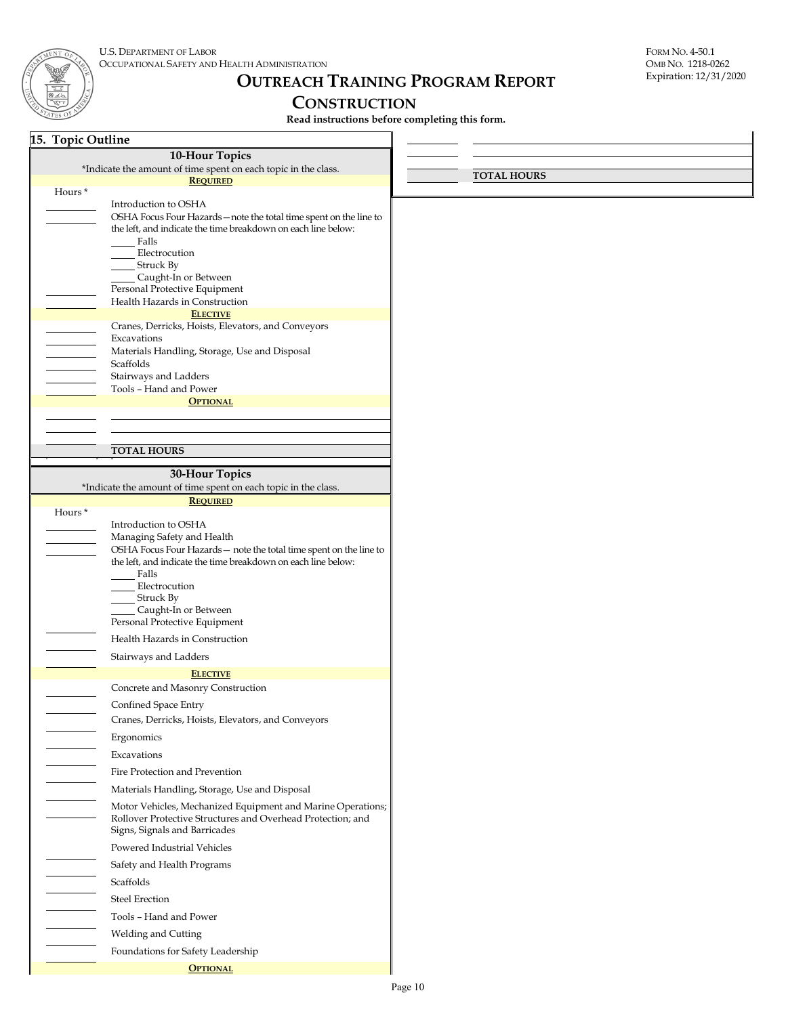# **OUTREACH TRAINING PROGRAM REPORT**

## **CONSTRUCTION**

**Read instructions before completing this form.**

| 15. Topic Outline                                                                                                                                                                                                                                                                                |                    |
|--------------------------------------------------------------------------------------------------------------------------------------------------------------------------------------------------------------------------------------------------------------------------------------------------|--------------------|
| 10-Hour Topics                                                                                                                                                                                                                                                                                   |                    |
| *Indicate the amount of time spent on each topic in the class.                                                                                                                                                                                                                                   | <b>TOTAL HOURS</b> |
| <b>REQUIRED</b><br>Hours*                                                                                                                                                                                                                                                                        |                    |
| Introduction to OSHA<br>OSHA Focus Four Hazards - note the total time spent on the line to<br>the left, and indicate the time breakdown on each line below:<br>Falls<br>Electrocution<br><b>Struck By</b>                                                                                        |                    |
| Caught-In or Between<br>Personal Protective Equipment<br>Health Hazards in Construction                                                                                                                                                                                                          |                    |
| <b>ELECTIVE</b><br>Cranes, Derricks, Hoists, Elevators, and Conveyors<br>Excavations<br>Materials Handling, Storage, Use and Disposal<br>Scaffolds<br>Stairways and Ladders                                                                                                                      |                    |
| Tools - Hand and Power<br><b>OPTIONAL</b>                                                                                                                                                                                                                                                        |                    |
|                                                                                                                                                                                                                                                                                                  |                    |
|                                                                                                                                                                                                                                                                                                  |                    |
| <b>TOTAL HOURS</b>                                                                                                                                                                                                                                                                               |                    |
| 30-Hour Topics                                                                                                                                                                                                                                                                                   |                    |
| *Indicate the amount of time spent on each topic in the class.                                                                                                                                                                                                                                   |                    |
| <b>REQUIRED</b><br>Hours <sup>*</sup>                                                                                                                                                                                                                                                            |                    |
| Introduction to OSHA<br>Managing Safety and Health<br>OSHA Focus Four Hazards - note the total time spent on the line to<br>the left, and indicate the time breakdown on each line below:<br>Falls<br>Electrocution<br><b>Struck By</b><br>Caught-In or Between<br>Personal Protective Equipment |                    |
| Health Hazards in Construction                                                                                                                                                                                                                                                                   |                    |
| Stairways and Ladders                                                                                                                                                                                                                                                                            |                    |
| <b>ELECTIVE</b>                                                                                                                                                                                                                                                                                  |                    |
| Concrete and Masonry Construction                                                                                                                                                                                                                                                                |                    |
| Confined Space Entry<br>Cranes, Derricks, Hoists, Elevators, and Conveyors                                                                                                                                                                                                                       |                    |
| Ergonomics                                                                                                                                                                                                                                                                                       |                    |
| Excavations                                                                                                                                                                                                                                                                                      |                    |
| Fire Protection and Prevention                                                                                                                                                                                                                                                                   |                    |
| Materials Handling, Storage, Use and Disposal<br>Motor Vehicles, Mechanized Equipment and Marine Operations;<br>Rollover Protective Structures and Overhead Protection; and<br>Signs, Signals and Barricades                                                                                     |                    |
| Powered Industrial Vehicles                                                                                                                                                                                                                                                                      |                    |
| Safety and Health Programs                                                                                                                                                                                                                                                                       |                    |
| Scaffolds                                                                                                                                                                                                                                                                                        |                    |
| <b>Steel Erection</b>                                                                                                                                                                                                                                                                            |                    |
| Tools - Hand and Power                                                                                                                                                                                                                                                                           |                    |
| Welding and Cutting                                                                                                                                                                                                                                                                              |                    |
| Foundations for Safety Leadership                                                                                                                                                                                                                                                                |                    |
| <b>OPTIONAL</b>                                                                                                                                                                                                                                                                                  |                    |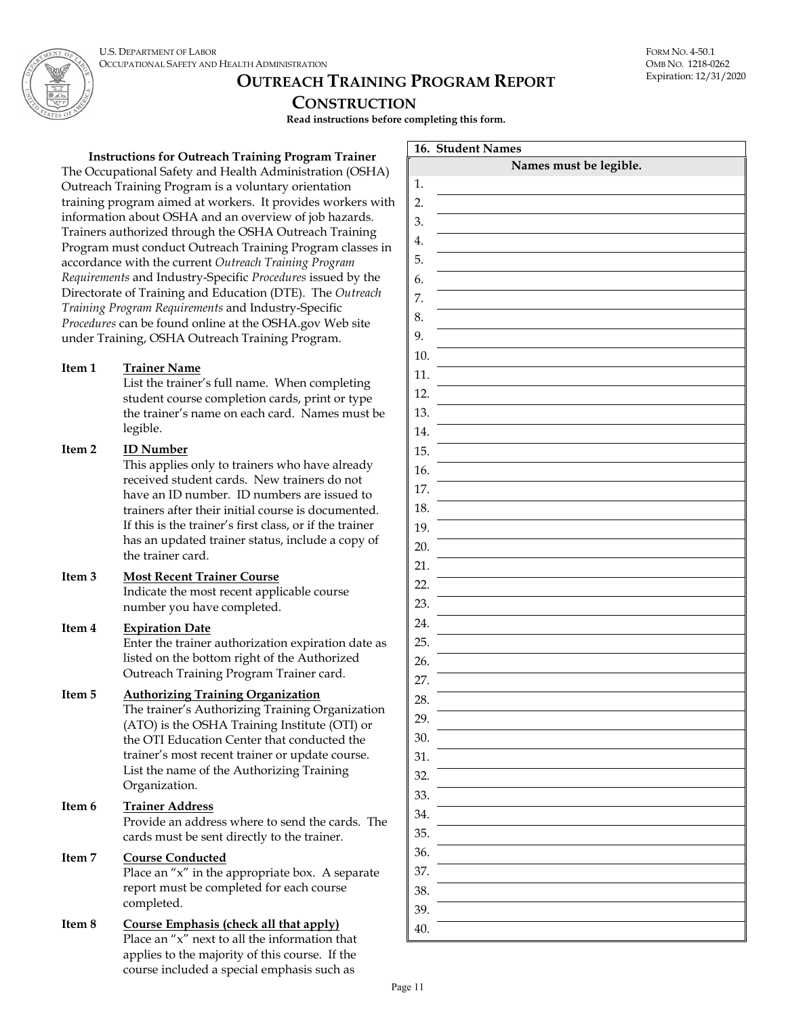

# **OUTREACH TRAINING PROGRAM REPORT**

## **CONSTRUCTION**

**Read instructions before completing this form.**

#### **Instructions for Outreach Training Program Trainer**

The Occupational Safety and Health Administration (OSHA) Outreach Training Program is a voluntary orientation training program aimed at workers. It provides workers with information about OSHA and an overview of job hazards. Trainers authorized through the OSHA Outreach Training Program must conduct Outreach Training Program classes in accordance with the current *Outreach Training Program Requirements* and Industry-Specific *Procedures* issued by the Directorate of Training and Education (DTE). The *Outreach Training Program Requirements* and Industry-Specific *Procedures* can be found online at the OSHA.gov Web site under Training, OSHA Outreach Training Program.

#### **Item 1 Trainer Name**

List the trainer's full name. When completing student course completion cards, print or type the trainer's name on each card. Names must be legible.

#### **Item 2 ID Number**

This applies only to trainers who have already received student cards. New trainers do not have an ID number. ID numbers are issued to trainers after their initial course is documented. If this is the trainer's first class, or if the trainer has an updated trainer status, include a copy of the trainer card.

## **Item 3 Most Recent Trainer Course**

Indicate the most recent applicable course number you have completed.

## **Item 4 Expiration Date**

Enter the trainer authorization expiration date as listed on the bottom right of the Authorized Outreach Training Program Trainer card.

#### **Item 5 Authorizing Training Organization**

The trainer's Authorizing Training Organization (ATO) is the OSHA Training Institute (OTI) or the OTI Education Center that conducted the trainer's most recent trainer or update course. List the name of the Authorizing Training Organization.

**Item 6 Trainer Address** Provide an address where to send the cards. The cards must be sent directly to the trainer.

## **Item 7 Course Conducted**

Place an "x" in the appropriate box. A separate report must be completed for each course completed.

#### **Item 8 Course Emphasis (check all that apply)** Place an "x" next to all the information that applies to the majority of this course. If the course included a special emphasis such as

|     | 16. Student Names      |
|-----|------------------------|
|     | Names must be legible. |
| 1.  |                        |
| 2.  |                        |
| 3.  |                        |
| 4.  |                        |
| 5.  |                        |
| 6.  |                        |
| 7.  |                        |
| 8.  |                        |
| 9.  |                        |
| 10. |                        |
| 11. |                        |
| 12. |                        |
| 13. |                        |
| 14. |                        |
| 15. |                        |
| 16. |                        |
| 17. |                        |
| 18. |                        |
| 19. |                        |
| 20. |                        |
| 21. |                        |
| 22. |                        |
| 23. |                        |
| 24. |                        |
| 25. |                        |
| 26. |                        |
| 27. |                        |
| 28. |                        |
| 29. |                        |
| 30. |                        |
| 31. |                        |
| 32. |                        |
| 33. |                        |
| 34. |                        |
| 35. |                        |
| 36. |                        |
| 37. |                        |
| 38. |                        |
| 39. |                        |
| 40. |                        |